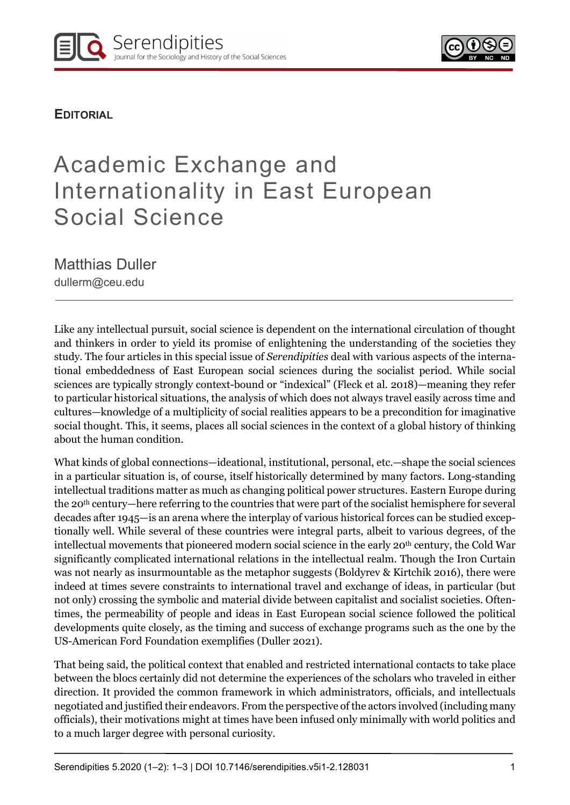**EDITORIAL** 

# Academic Exchange and Internationality in East European Social Science

Matthias Duller

dullerm@ceu.edu

Like any intellectual pursuit, social science is dependent on the international circulation of thought and thinkers in order to yield its promise of enlightening the understanding of the societies they study. The four articles in this special issue of Serendipities deal with various aspects of the international embeddedness of East European social sciences during the socialist period. While social sciences are typically strongly context-bound or "indexical" (Fleck et al. 2018)—meaning they refer to particular historical situations, the analysis of which does not always travel easily across time and cultures—knowledge of a multiplicity of social realities appears to be a precondition for imaginative social thought. This, it seems, places all social sciences in the context of a global history of thinking about the human condition.

What kinds of global connections—ideational, institutional, personal, etc.—shape the social sciences in a particular situation is, of course, itself historically determined by many factors. Long-standing intellectual traditions matter as much as changing political power structures. Eastern Europe during the 20th century—here referring to the countries that were part of the socialist hemisphere for several decades after 1945—is an arena where the interplay of various historical forces can be studied exceptionally well. While several of these countries were integral parts, albeit to various degrees, of the intellectual movements that pioneered modern social science in the early 20<sup>th</sup> century, the Cold War significantly complicated international relations in the intellectual realm. Though the Iron Curtain was not nearly as insurmountable as the metaphor suggests (Boldyrev & Kirtchik 2016), there were indeed at times severe constraints to international travel and exchange of ideas, in particular (but not only) crossing the symbolic and material divide between capitalist and socialist societies. Oftentimes, the permeability of people and ideas in East European social science followed the political developments quite closely, as the timing and success of exchange programs such as the one by the US-American Ford Foundation exemplifies (Duller 2021).

That being said, the political context that enabled and restricted international contacts to take place between the blocs certainly did not determine the experiences of the scholars who traveled in either direction. It provided the common framework in which administrators, officials, and intellectuals negotiated and justified their endeavors. From the perspective of the actors involved (including many officials), their motivations might at times have been infused only minimally with world politics and to a much larger degree with personal curiosity.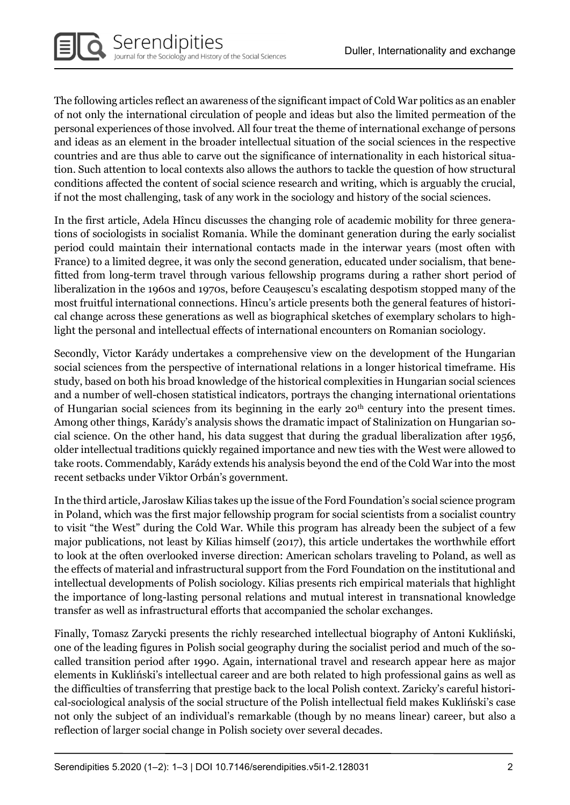The following articles reflect an awareness of the significant impact of Cold War politics as an enabler of not only the international circulation of people and ideas but also the limited permeation of the personal experiences of those involved. All four treat the theme of international exchange of persons and ideas as an element in the broader intellectual situation of the social sciences in the respective countries and are thus able to carve out the significance of internationality in each historical situation. Such attention to local contexts also allows the authors to tackle the question of how structural conditions affected the content of social science research and writing, which is arguably the crucial, if not the most challenging, task of any work in the sociology and history of the social sciences.

In the first article, Adela Hîncu discusses the changing role of academic mobility for three generations of sociologists in socialist Romania. While the dominant generation during the early socialist period could maintain their international contacts made in the interwar years (most often with France) to a limited degree, it was only the second generation, educated under socialism, that benefitted from long-term travel through various fellowship programs during a rather short period of liberalization in the 1960s and 1970s, before Ceaușescu's escalating despotism stopped many of the most fruitful international connections. Hîncu's article presents both the general features of historical change across these generations as well as biographical sketches of exemplary scholars to highlight the personal and intellectual effects of international encounters on Romanian sociology.

Secondly, Victor Karády undertakes a comprehensive view on the development of the Hungarian social sciences from the perspective of international relations in a longer historical timeframe. His study, based on both his broad knowledge of the historical complexities in Hungarian social sciences and a number of well-chosen statistical indicators, portrays the changing international orientations of Hungarian social sciences from its beginning in the early 20<sup>th</sup> century into the present times. Among other things, Karády's analysis shows the dramatic impact of Stalinization on Hungarian social science. On the other hand, his data suggest that during the gradual liberalization after 1956, older intellectual traditions quickly regained importance and new ties with the West were allowed to take roots. Commendably, Karády extends his analysis beyond the end of the Cold War into the most recent setbacks under Viktor Orbán's government.

In the third article, Jarosław Kilias takes up the issue of the Ford Foundation's social science program in Poland, which was the first major fellowship program for social scientists from a socialist country to visit "the West" during the Cold War. While this program has already been the subject of a few major publications, not least by Kilias himself (2017), this article undertakes the worthwhile effort to look at the often overlooked inverse direction: American scholars traveling to Poland, as well as the effects of material and infrastructural support from the Ford Foundation on the institutional and intellectual developments of Polish sociology. Kilias presents rich empirical materials that highlight the importance of long-lasting personal relations and mutual interest in transnational knowledge transfer as well as infrastructural efforts that accompanied the scholar exchanges.

Finally, Tomasz Zarycki presents the richly researched intellectual biography of Antoni Kukliński, one of the leading figures in Polish social geography during the socialist period and much of the socalled transition period after 1990. Again, international travel and research appear here as major elements in Kukliński's intellectual career and are both related to high professional gains as well as the difficulties of transferring that prestige back to the local Polish context. Zaricky's careful historical-sociological analysis of the social structure of the Polish intellectual field makes Kukliński's case not only the subject of an individual's remarkable (though by no means linear) career, but also a reflection of larger social change in Polish society over several decades.